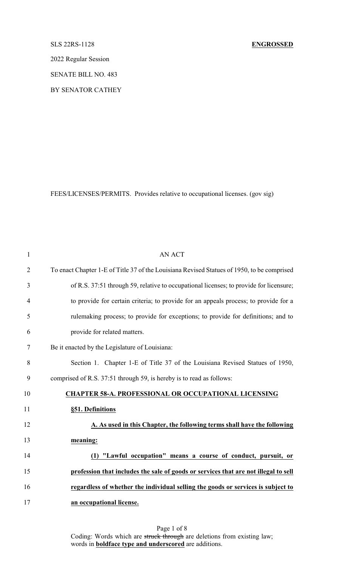# SLS 22RS-1128 **ENGROSSED**

2022 Regular Session

SENATE BILL NO. 483

BY SENATOR CATHEY

FEES/LICENSES/PERMITS. Provides relative to occupational licenses. (gov sig)

| $\mathbf{1}$   | <b>AN ACT</b>                                                                              |
|----------------|--------------------------------------------------------------------------------------------|
| $\overline{2}$ | To enact Chapter 1-E of Title 37 of the Louisiana Revised Statues of 1950, to be comprised |
| 3              | of R.S. 37:51 through 59, relative to occupational licenses; to provide for licensure;     |
| 4              | to provide for certain criteria; to provide for an appeals process; to provide for a       |
| 5              | rulemaking process; to provide for exceptions; to provide for definitions; and to          |
| 6              | provide for related matters.                                                               |
| 7              | Be it enacted by the Legislature of Louisiana:                                             |
| 8              | Section 1. Chapter 1-E of Title 37 of the Louisiana Revised Statues of 1950,               |
| 9              | comprised of R.S. 37:51 through 59, is hereby is to read as follows:                       |
| 10             | <b>CHAPTER 58-A. PROFESSIONAL OR OCCUPATIONAL LICENSING</b>                                |
| 11             | §51. Definitions                                                                           |
| 12             | A. As used in this Chapter, the following terms shall have the following                   |
| 13             | meaning:                                                                                   |
| 14             | (1) "Lawful occupation" means a course of conduct, pursuit, or                             |
| 15             | profession that includes the sale of goods or services that are not illegal to sell        |
| 16             | regardless of whether the individual selling the goods or services is subject to           |
| 17             | an occupational license.                                                                   |
|                |                                                                                            |

Page 1 of 8 Coding: Words which are struck through are deletions from existing law; words in **boldface type and underscored** are additions.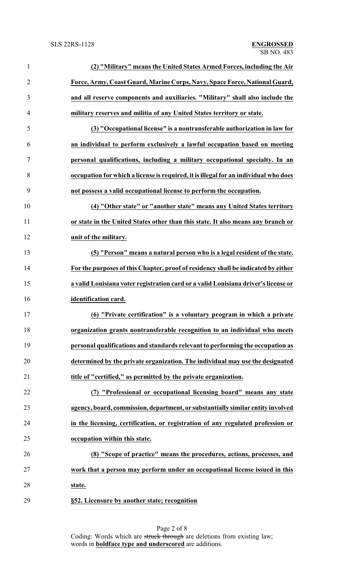| $\mathbf{1}$   | (2) "Military" means the United States Armed Forces, including the Air               |
|----------------|--------------------------------------------------------------------------------------|
| $\overline{2}$ | Force, Army, Coast Guard, Marine Corps, Navy, Space Force, National Guard,           |
| 3              | and all reserve components and auxiliaries. "Military" shall also include the        |
| 4              | military reserves and militia of any United States territory or state.               |
| 5              | (3) "Occupational license" is a nontransferable authorization in law for             |
| 6              | an individual to perform exclusively a lawful occupation based on meeting            |
| $\tau$         | personal qualifications, including a military occupational specialty. In an          |
| 8              | occupation for which a license is required, it is illegal for an individual who does |
| 9              | not possess a valid occupational license to perform the occupation.                  |
| 10             | (4) "Other state" or "another state" means any United States territory               |
| 11             | or state in the United States other than this state. It also means any branch or     |
| 12             | unit of the military.                                                                |
| 13             | (5) "Person" means a natural person who is a legal resident of the state.            |
| 14             | For the purposes of this Chapter, proof of residency shall be indicated by either    |
| 15             | a valid Louisiana voter registration card or a valid Louisiana driver's license or   |
| 16             | identification card.                                                                 |
| 17             | (6) "Private certification" is a voluntary program in which a private                |
| 18             | organization grants nontransferable recognition to an individual who meets           |
| 19             | personal qualifications and standards relevant to performing the occupation as       |
| 20             | determined by the private organization. The individual may use the designated        |
| 21             | title of "certified," as permitted by the private organization.                      |
| 22             | (7) "Professional or occupational licensing board" means any state                   |
| 23             | agency, board, commission, department, or substantially similar entity involved      |
| 24             | in the licensing, certification, or registration of any regulated profession or      |
| 25             | occupation within this state.                                                        |
| 26             | (8) "Scope of practice" means the procedures, actions, processes, and                |
| 27             | work that a person may perform under an occupational license issued in this          |
| 28             | state.                                                                               |
| 29             | §52. Licensure by another state; recognition                                         |

Page 2 of 8 Coding: Words which are struck through are deletions from existing law; words in **boldface type and underscored** are additions.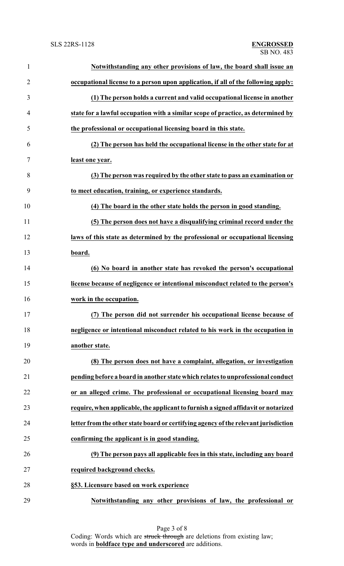| $\mathbf{1}$   | Notwithstanding any other provisions of law, the board shall issue an               |
|----------------|-------------------------------------------------------------------------------------|
| $\overline{2}$ | occupational license to a person upon application, if all of the following apply:   |
| 3              | (1) The person holds a current and valid occupational license in another            |
| $\overline{4}$ | state for a lawful occupation with a similar scope of practice, as determined by    |
| 5              | the professional or occupational licensing board in this state.                     |
| 6              | (2) The person has held the occupational license in the other state for at          |
| 7              | least one year.                                                                     |
| 8              | (3) The person was required by the other state to pass an examination or            |
| 9              | to meet education, training, or experience standards.                               |
| 10             | (4) The board in the other state holds the person in good standing.                 |
| 11             | (5) The person does not have a disqualifying criminal record under the              |
| 12             | laws of this state as determined by the professional or occupational licensing      |
| 13             | board.                                                                              |
| 14             | (6) No board in another state has revoked the person's occupational                 |
| 15             | license because of negligence or intentional misconduct related to the person's     |
| 16             | work in the occupation.                                                             |
| 17             | (7) The person did not surrender his occupational license because of                |
| 18             | negligence or intentional misconduct related to his work in the occupation in       |
| 19             | another state.                                                                      |
| 20             | (8) The person does not have a complaint, allegation, or investigation              |
| 21             | pending before a board in another state which relates to unprofessional conduct     |
| 22             | or an alleged crime. The professional or occupational licensing board may           |
| 23             | require, when applicable, the applicant to furnish a signed affidavit or notarized  |
| 24             | letter from the other state board or certifying agency of the relevant jurisdiction |
| 25             | confirming the applicant is in good standing.                                       |
| 26             | (9) The person pays all applicable fees in this state, including any board          |
| 27             | required background checks.                                                         |
| 28             | §53. Licensure based on work experience                                             |
| 29             | Notwithstanding any other provisions of law, the professional or                    |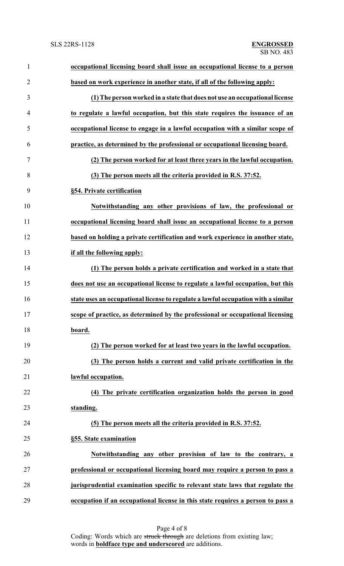| $\mathbf{1}$   | occupational licensing board shall issue an occupational license to a person      |
|----------------|-----------------------------------------------------------------------------------|
| $\overline{2}$ | based on work experience in another state, if all of the following apply:         |
| 3              | (1) The person worked in a state that does not use an occupational license        |
| $\overline{4}$ | to regulate a lawful occupation, but this state requires the issuance of an       |
| 5              | occupational license to engage in a lawful occupation with a similar scope of     |
| 6              | practice, as determined by the professional or occupational licensing board.      |
| 7              | (2) The person worked for at least three years in the lawful occupation.          |
| 8              | (3) The person meets all the criteria provided in R.S. 37:52.                     |
| 9              | §54. Private certification                                                        |
| 10             | Notwithstanding any other provisions of law, the professional or                  |
| 11             | occupational licensing board shall issue an occupational license to a person      |
| 12             | based on holding a private certification and work experience in another state,    |
| 13             | if all the following apply:                                                       |
| 14             | (1) The person holds a private certification and worked in a state that           |
| 15             | does not use an occupational license to regulate a lawful occupation, but this    |
| 16             | state uses an occupational license to regulate a lawful occupation with a similar |
| 17             | scope of practice, as determined by the professional or occupational licensing    |
| 18             | board.                                                                            |
| 19             | (2) The person worked for at least two years in the lawful occupation.            |
| 20             | (3) The person holds a current and valid private certification in the             |
| 21             | lawful occupation.                                                                |
| 22             | (4) The private certification organization holds the person in good               |
| 23             | standing.                                                                         |
| 24             | (5) The person meets all the criteria provided in R.S. 37:52.                     |
| 25             | §55. State examination                                                            |
| 26             | Notwithstanding any other provision of law to the contrary, a                     |
| 27             | professional or occupational licensing board may require a person to pass a       |
| 28             | jurisprudential examination specific to relevant state laws that regulate the     |
| 29             | occupation if an occupational license in this state requires a person to pass a   |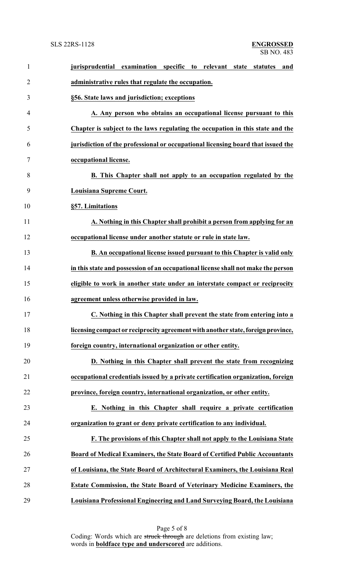| $\mathbf{1}$   | examination specific<br>jurisprudential<br>to relevant state<br>statutes<br>and   |
|----------------|-----------------------------------------------------------------------------------|
| $\overline{2}$ | administrative rules that regulate the occupation.                                |
| 3              | §56. State laws and jurisdiction; exceptions                                      |
| 4              | A. Any person who obtains an occupational license pursuant to this                |
| 5              | Chapter is subject to the laws regulating the occupation in this state and the    |
| 6              | jurisdiction of the professional or occupational licensing board that issued the  |
| 7              | occupational license.                                                             |
| 8              | <b>B.</b> This Chapter shall not apply to an occupation regulated by the          |
| 9              | Louisiana Supreme Court.                                                          |
| 10             | §57. Limitations                                                                  |
| 11             | A. Nothing in this Chapter shall prohibit a person from applying for an           |
| 12             | occupational license under another statute or rule in state law.                  |
| 13             | <b>B.</b> An occupational license issued pursuant to this Chapter is valid only   |
| 14             | in this state and possession of an occupational license shall not make the person |
| 15             | eligible to work in another state under an interstate compact or reciprocity      |
| 16             | agreement unless otherwise provided in law.                                       |
| 17             | C. Nothing in this Chapter shall prevent the state from entering into a           |
| 18             | licensing compact or reciprocity agreement with another state, foreign province,  |
| 19             | foreign country, international organization or other entity.                      |
| 20             | D. Nothing in this Chapter shall prevent the state from recognizing               |
| 21             | occupational credentials issued by a private certification organization, foreign  |
| 22             | province, foreign country, international organization, or other entity.           |
| 23             | E. Nothing in this Chapter shall require a private certification                  |
| 24             | organization to grant or deny private certification to any individual.            |
| 25             | F. The provisions of this Chapter shall not apply to the Louisiana State          |
| 26             | Board of Medical Examiners, the State Board of Certified Public Accountants       |
| 27             | of Louisiana, the State Board of Architectural Examiners, the Louisiana Real      |
| 28             | Estate Commission, the State Board of Veterinary Medicine Examiners, the          |
| 29             | Louisiana Professional Engineering and Land Surveying Board, the Louisiana        |

Page 5 of 8 Coding: Words which are struck through are deletions from existing law; words in **boldface type and underscored** are additions.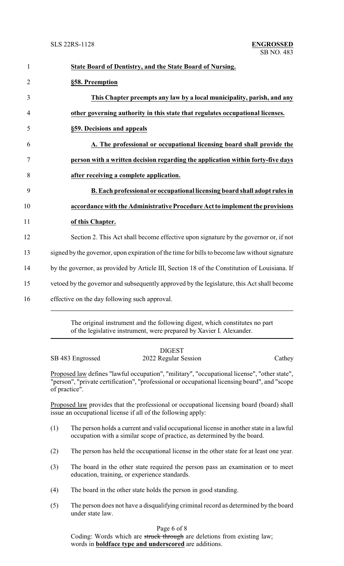| $\mathbf{1}$   | State Board of Dentistry, and the State Board of Nursing.                                     |
|----------------|-----------------------------------------------------------------------------------------------|
| $\overline{2}$ | §58. Preemption                                                                               |
| 3              | This Chapter preempts any law by a local municipality, parish, and any                        |
| 4              | other governing authority in this state that regulates occupational licenses.                 |
| 5              | §59. Decisions and appeals                                                                    |
| 6              | A. The professional or occupational licensing board shall provide the                         |
| 7              | person with a written decision regarding the application within forty-five days               |
| 8              | after receiving a complete application.                                                       |
| 9              | B. Each professional or occupational licensing board shall adopt rules in                     |
| 10             | accordance with the Administrative Procedure Act to implement the provisions                  |
| 11             | of this Chapter.                                                                              |
| 12             | Section 2. This Act shall become effective upon signature by the governor or, if not          |
| 13             | signed by the governor, upon expiration of the time for bills to become law without signature |
| 14             | by the governor, as provided by Article III, Section 18 of the Constitution of Louisiana. If  |
| 15             | vetoed by the governor and subsequently approved by the legislature, this Act shall become    |
| 16             | effective on the day following such approval.                                                 |

The original instrument and the following digest, which constitutes no part of the legislative instrument, were prepared by Xavier I. Alexander.

| SB 483 Engrossed                                                                                                                                                                                                | <b>DIGEST</b><br>2022 Regular Session | Cathey |  |  |  |
|-----------------------------------------------------------------------------------------------------------------------------------------------------------------------------------------------------------------|---------------------------------------|--------|--|--|--|
| Proposed law defines "lawful occupation", "military", "occupational license", "other state",<br>"person", "private certification", "professional or occupational licensing board", and "scope"<br>of practice". |                                       |        |  |  |  |

Proposed law provides that the professional or occupational licensing board (board) shall issue an occupational license if all of the following apply:

- (1) The person holds a current and valid occupational license in another state in a lawful occupation with a similar scope of practice, as determined by the board.
- (2) The person has held the occupational license in the other state for at least one year.
- (3) The board in the other state required the person pass an examination or to meet education, training, or experience standards.
- (4) The board in the other state holds the person in good standing.
- (5) The person does not have a disqualifying criminal record as determined by the board under state law.

Page 6 of 8

Coding: Words which are struck through are deletions from existing law; words in **boldface type and underscored** are additions.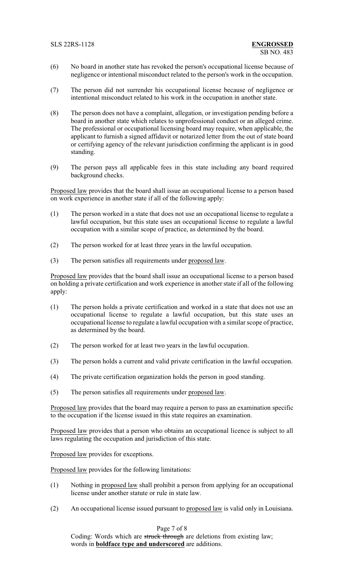- (6) No board in another state has revoked the person's occupational license because of negligence or intentional misconduct related to the person's work in the occupation.
- (7) The person did not surrender his occupational license because of negligence or intentional misconduct related to his work in the occupation in another state.
- (8) The person does not have a complaint, allegation, or investigation pending before a board in another state which relates to unprofessional conduct or an alleged crime. The professional or occupational licensing board may require, when applicable, the applicant to furnish a signed affidavit or notarized letter from the out of state board or certifying agency of the relevant jurisdiction confirming the applicant is in good standing.
- (9) The person pays all applicable fees in this state including any board required background checks.

Proposed law provides that the board shall issue an occupational license to a person based on work experience in another state if all of the following apply:

- (1) The person worked in a state that does not use an occupational license to regulate a lawful occupation, but this state uses an occupational license to regulate a lawful occupation with a similar scope of practice, as determined by the board.
- (2) The person worked for at least three years in the lawful occupation.
- (3) The person satisfies all requirements under proposed law.

Proposed law provides that the board shall issue an occupational license to a person based on holding a private certification and work experience in another state if all of the following apply:

- (1) The person holds a private certification and worked in a state that does not use an occupational license to regulate a lawful occupation, but this state uses an occupational license to regulate a lawful occupation with a similar scope of practice, as determined by the board.
- (2) The person worked for at least two years in the lawful occupation.
- (3) The person holds a current and valid private certification in the lawful occupation.
- (4) The private certification organization holds the person in good standing.
- (5) The person satisfies all requirements under proposed law.

Proposed law provides that the board may require a person to pass an examination specific to the occupation if the license issued in this state requires an examination.

Proposed law provides that a person who obtains an occupational licence is subject to all laws regulating the occupation and jurisdiction of this state.

Proposed law provides for exceptions.

Proposed law provides for the following limitations:

- (1) Nothing in proposed law shall prohibit a person from applying for an occupational license under another statute or rule in state law.
- (2) An occupational license issued pursuant to proposed law is valid only in Louisiana.

## Page 7 of 8

Coding: Words which are struck through are deletions from existing law; words in **boldface type and underscored** are additions.